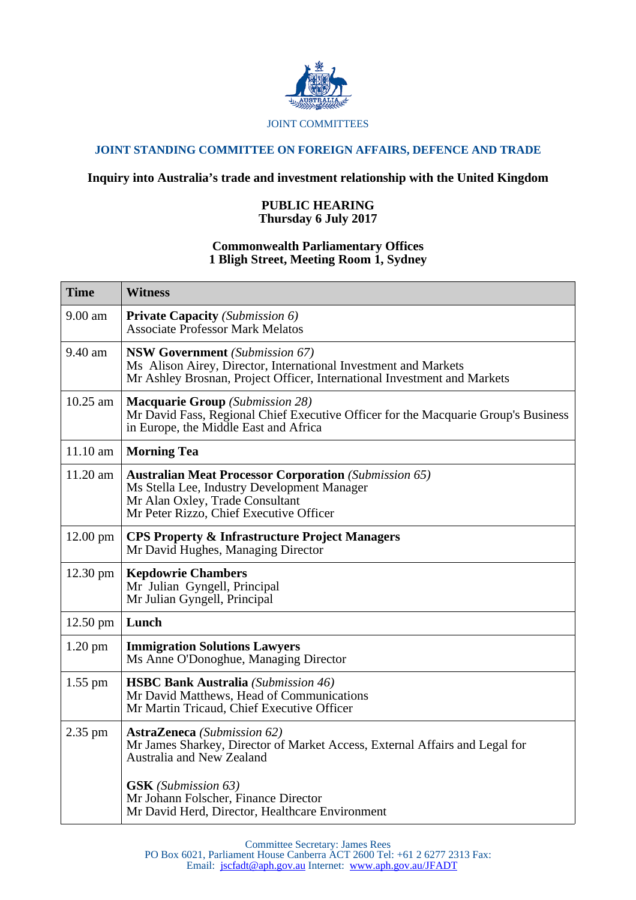

## **JOINT STANDING COMMITTEE ON FOREIGN AFFAIRS, DEFENCE AND TRADE**

## **Inquiry into Australia's trade and investment relationship with the United Kingdom**

## **PUBLIC HEARING Thursday 6 July 2017**

## **Commonwealth Parliamentary Offices 1 Bligh Street, Meeting Room 1, Sydney**

| <b>Time</b>        | <b>Witness</b>                                                                                                                                                                            |
|--------------------|-------------------------------------------------------------------------------------------------------------------------------------------------------------------------------------------|
| 9.00 am            | <b>Private Capacity</b> (Submission 6)<br><b>Associate Professor Mark Melatos</b>                                                                                                         |
| 9.40 am            | <b>NSW Government</b> (Submission 67)<br>Ms Alison Airey, Director, International Investment and Markets<br>Mr Ashley Brosnan, Project Officer, International Investment and Markets      |
| $10.25$ am         | <b>Macquarie Group</b> (Submission 28)<br>Mr David Fass, Regional Chief Executive Officer for the Macquarie Group's Business<br>in Europe, the Middle East and Africa                     |
| 11.10 am           | <b>Morning Tea</b>                                                                                                                                                                        |
| $11.20$ am         | <b>Australian Meat Processor Corporation (Submission 65)</b><br>Ms Stella Lee, Industry Development Manager<br>Mr Alan Oxley, Trade Consultant<br>Mr Peter Rizzo, Chief Executive Officer |
| $12.00 \text{ pm}$ | <b>CPS Property &amp; Infrastructure Project Managers</b><br>Mr David Hughes, Managing Director                                                                                           |
| $12.30 \text{ pm}$ | <b>Kepdowrie Chambers</b><br>Mr Julian Gyngell, Principal<br>Mr Julian Gyngell, Principal                                                                                                 |
| $12.50 \text{ pm}$ | Lunch                                                                                                                                                                                     |
| $1.20$ pm          | <b>Immigration Solutions Lawyers</b><br>Ms Anne O'Donoghue, Managing Director                                                                                                             |
| $1.55$ pm          | <b>HSBC Bank Australia</b> (Submission 46)<br>Mr David Matthews, Head of Communications<br>Mr Martin Tricaud, Chief Executive Officer                                                     |
| 2.35 pm            | <b>AstraZeneca</b> (Submission 62)<br>Mr James Sharkey, Director of Market Access, External Affairs and Legal for<br>Australia and New Zealand                                            |
|                    | <b>GSK</b> (Submission 63)<br>Mr Johann Folscher, Finance Director<br>Mr David Herd, Director, Healthcare Environment                                                                     |